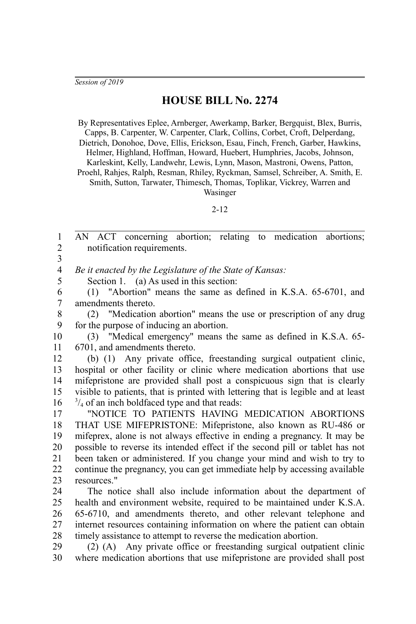## **HOUSE BILL No. 2274**

By Representatives Eplee, Arnberger, Awerkamp, Barker, Bergquist, Blex, Burris, Capps, B. Carpenter, W. Carpenter, Clark, Collins, Corbet, Croft, Delperdang, Dietrich, Donohoe, Dove, Ellis, Erickson, Esau, Finch, French, Garber, Hawkins, Helmer, Highland, Hoffman, Howard, Huebert, Humphries, Jacobs, Johnson, Karleskint, Kelly, Landwehr, Lewis, Lynn, Mason, Mastroni, Owens, Patton, Proehl, Rahjes, Ralph, Resman, Rhiley, Ryckman, Samsel, Schreiber, A. Smith, E. Smith, Sutton, Tarwater, Thimesch, Thomas, Toplikar, Vickrey, Warren and Wasinger

2-12

AN ACT concerning abortion; relating to medication abortions; notification requirements. *Be it enacted by the Legislature of the State of Kansas:* 1 2 3 4 5

Section 1. (a) As used in this section:

(1) "Abortion" means the same as defined in K.S.A. 65-6701, and amendments thereto. 6 7

(2) "Medication abortion" means the use or prescription of any drug for the purpose of inducing an abortion. 8 9

(3) "Medical emergency" means the same as defined in K.S.A. 65- 6701, and amendments thereto. 10 11

(b) (1) Any private office, freestanding surgical outpatient clinic, hospital or other facility or clinic where medication abortions that use mifepristone are provided shall post a conspicuous sign that is clearly visible to patients, that is printed with lettering that is legible and at least  $\frac{3}{4}$  of an inch boldfaced type and that reads: 12 13 14 15 16

"NOTICE TO PATIENTS HAVING MEDICATION ABORTIONS THAT USE MIFEPRISTONE: Mifepristone, also known as RU-486 or mifeprex, alone is not always effective in ending a pregnancy. It may be possible to reverse its intended effect if the second pill or tablet has not been taken or administered. If you change your mind and wish to try to continue the pregnancy, you can get immediate help by accessing available resources." 17 18 19 20 21 22 23

The notice shall also include information about the department of health and environment website, required to be maintained under K.S.A. 65-6710, and amendments thereto, and other relevant telephone and internet resources containing information on where the patient can obtain timely assistance to attempt to reverse the medication abortion. 24 25 26 27 28

(2) (A) Any private office or freestanding surgical outpatient clinic where medication abortions that use mifepristone are provided shall post 29 30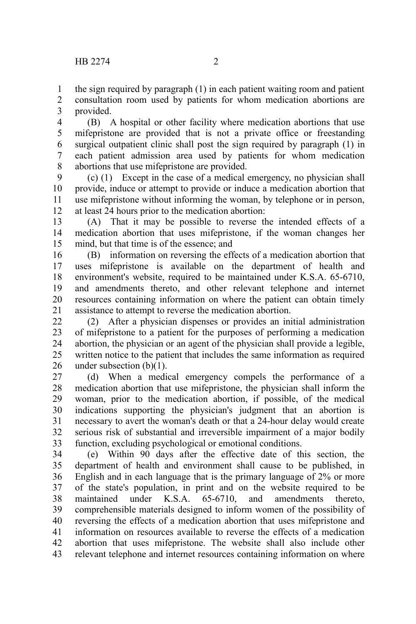the sign required by paragraph (1) in each patient waiting room and patient consultation room used by patients for whom medication abortions are provided. 1 2 3

(B) A hospital or other facility where medication abortions that use mifepristone are provided that is not a private office or freestanding surgical outpatient clinic shall post the sign required by paragraph (1) in each patient admission area used by patients for whom medication abortions that use mifepristone are provided. 4 5 6 7 8

(c) (1) Except in the case of a medical emergency, no physician shall provide, induce or attempt to provide or induce a medication abortion that use mifepristone without informing the woman, by telephone or in person, at least 24 hours prior to the medication abortion: 9 10 11 12

(A) That it may be possible to reverse the intended effects of a medication abortion that uses mifepristone, if the woman changes her mind, but that time is of the essence; and 13 14 15

(B) information on reversing the effects of a medication abortion that uses mifepristone is available on the department of health and environment's website, required to be maintained under K.S.A. 65-6710, and amendments thereto, and other relevant telephone and internet resources containing information on where the patient can obtain timely assistance to attempt to reverse the medication abortion. 16 17 18 19 20 21

(2) After a physician dispenses or provides an initial administration of mifepristone to a patient for the purposes of performing a medication abortion, the physician or an agent of the physician shall provide a legible, written notice to the patient that includes the same information as required under subsection (b)(1). 22 23 24 25 26

(d) When a medical emergency compels the performance of a medication abortion that use mifepristone, the physician shall inform the woman, prior to the medication abortion, if possible, of the medical indications supporting the physician's judgment that an abortion is necessary to avert the woman's death or that a 24-hour delay would create serious risk of substantial and irreversible impairment of a major bodily function, excluding psychological or emotional conditions. 27 28 29 30 31 32 33

(e) Within 90 days after the effective date of this section, the department of health and environment shall cause to be published, in English and in each language that is the primary language of 2% or more of the state's population, in print and on the website required to be maintained under K.S.A. 65-6710, and amendments thereto, comprehensible materials designed to inform women of the possibility of reversing the effects of a medication abortion that uses mifepristone and information on resources available to reverse the effects of a medication abortion that uses mifepristone. The website shall also include other relevant telephone and internet resources containing information on where 34 35 36 37 38 39 40 41 42 43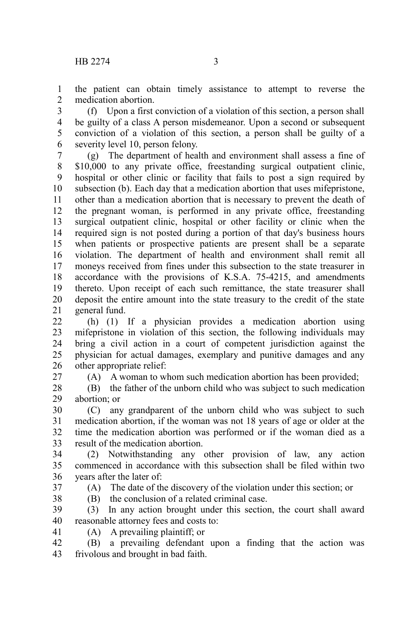the patient can obtain timely assistance to attempt to reverse the medication abortion. 1  $\mathcal{L}$ 

(f) Upon a first conviction of a violation of this section, a person shall be guilty of a class A person misdemeanor. Upon a second or subsequent conviction of a violation of this section, a person shall be guilty of a severity level 10, person felony. 3 4 5 6

(g) The department of health and environment shall assess a fine of \$10,000 to any private office, freestanding surgical outpatient clinic, hospital or other clinic or facility that fails to post a sign required by subsection (b). Each day that a medication abortion that uses mifepristone, other than a medication abortion that is necessary to prevent the death of the pregnant woman, is performed in any private office, freestanding surgical outpatient clinic, hospital or other facility or clinic when the required sign is not posted during a portion of that day's business hours when patients or prospective patients are present shall be a separate violation. The department of health and environment shall remit all moneys received from fines under this subsection to the state treasurer in accordance with the provisions of K.S.A. 75-4215, and amendments thereto. Upon receipt of each such remittance, the state treasurer shall deposit the entire amount into the state treasury to the credit of the state general fund. 7 8 9 10 11 12 13 14 15 16 17 18 19 20 21

(h) (1) If a physician provides a medication abortion using mifepristone in violation of this section, the following individuals may bring a civil action in a court of competent jurisdiction against the physician for actual damages, exemplary and punitive damages and any other appropriate relief:  $22$ 23 24 25 26

27

(A) A woman to whom such medication abortion has been provided;

(B) the father of the unborn child who was subject to such medication abortion; or 28 29

(C) any grandparent of the unborn child who was subject to such medication abortion, if the woman was not 18 years of age or older at the time the medication abortion was performed or if the woman died as a result of the medication abortion. 30 31 32 33

(2) Notwithstanding any other provision of law, any action commenced in accordance with this subsection shall be filed within two years after the later of: 34 35 36

37

38

(A) The date of the discovery of the violation under this section; or

(B) the conclusion of a related criminal case.

(3) In any action brought under this section, the court shall award reasonable attorney fees and costs to: 39 40

(A) A prevailing plaintiff; or 41

(B) a prevailing defendant upon a finding that the action was frivolous and brought in bad faith. 42 43